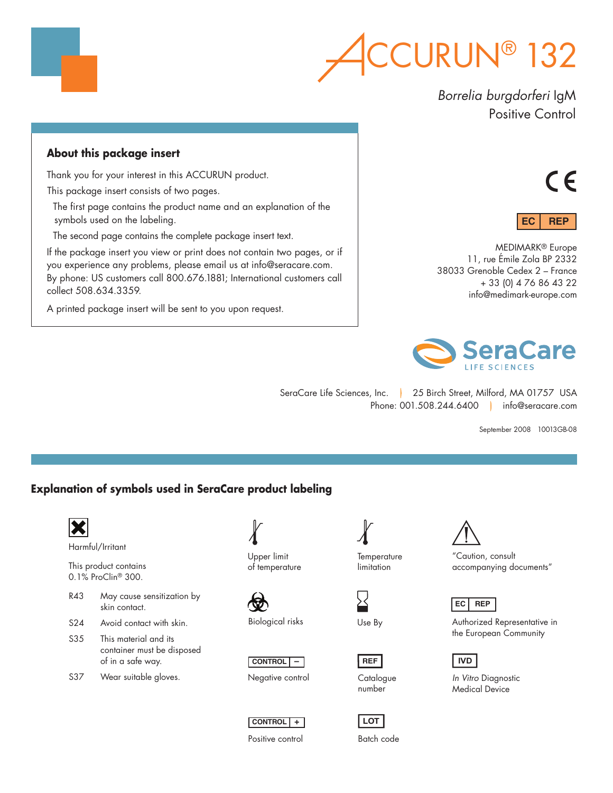

*Borrelia burgdorferi* IgM Positive Control

# **About this package insert**

Thank you for your interest in this ACCURUN product.

This package insert consists of two pages.

The first page contains the product name and an explanation of the symbols used on the labeling.

The second page contains the complete package insert text.

If the package insert you view or print does not contain two pages, or if you experience any problems, please email us at info@seracare.com. By phone: US customers call 800.676.1881; International customers call collect 508.634.3359.

A printed package insert will be sent to you upon request.





MEDIMARK® Europe 11, rue Émile Zola BP 2332 38033 Grenoble Cedex 2 – France + 33 (0) 4 76 86 43 22 info@medimark-europe.com



SeraCare Life Sciences, Inc. | 25 Birch Street, Milford, MA 01757 USA Phone: 001.508.244.6400 | info@seracare.com

September 2008 10013GB-08

# **Explanation of symbols used in SeraCare product labeling**



S37 Wear suitable gloves.

Upper limit of temperature

Biological risks





**CONTROL +**



Use By

**REF**

number

**LOT** Batch code



"Caution, consult accompanying documents"

# **EC REP**

Authorized Representative in the European Community

# **IVD**

*In Vitro* Diagnostic Medical Device



Positive control